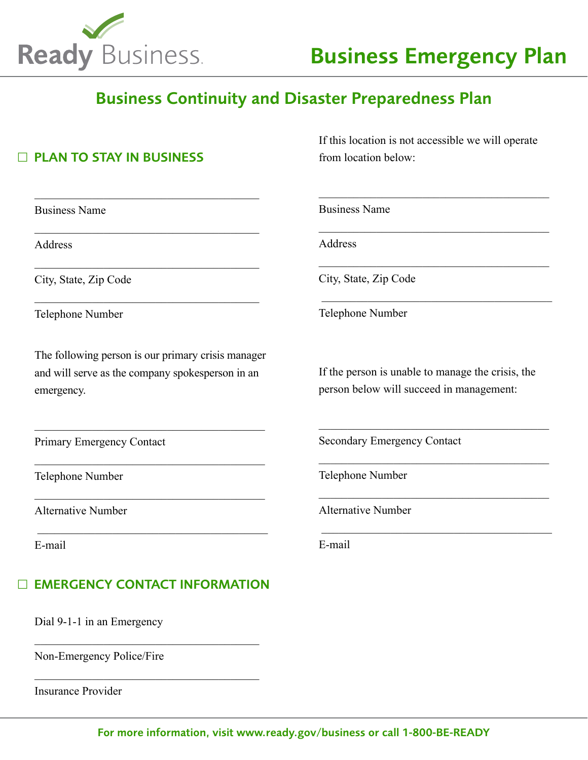

 $\Box$  PLAN TO STAY IN BUSINESS

Business Name

Address

City, State, Zip Code

Telephone Number

The following person is our primary crisis manager and will serve as the company spokesperson in an emergency.

 $\overline{\mathcal{L}}$  , and the set of the set of the set of the set of the set of the set of the set of the set of the set of the set of the set of the set of the set of the set of the set of the set of the set of the set of the s

 $\overline{\mathcal{L}}$  , and the set of the set of the set of the set of the set of the set of the set of the set of the set of the set of the set of the set of the set of the set of the set of the set of the set of the set of the s

 $\overline{\mathcal{L}}$  , and the set of the set of the set of the set of the set of the set of the set of the set of the set of the set of the set of the set of the set of the set of the set of the set of the set of the set of the s

 $\overline{\phantom{a}}$  ,  $\overline{\phantom{a}}$  ,  $\overline{\phantom{a}}$  ,  $\overline{\phantom{a}}$  ,  $\overline{\phantom{a}}$  ,  $\overline{\phantom{a}}$  ,  $\overline{\phantom{a}}$  ,  $\overline{\phantom{a}}$  ,  $\overline{\phantom{a}}$  ,  $\overline{\phantom{a}}$  ,  $\overline{\phantom{a}}$  ,  $\overline{\phantom{a}}$  ,  $\overline{\phantom{a}}$  ,  $\overline{\phantom{a}}$  ,  $\overline{\phantom{a}}$  ,  $\overline{\phantom{a}}$ 

\_\_\_\_\_\_\_\_\_\_\_\_\_\_\_\_\_\_\_\_\_\_\_\_\_\_\_\_\_\_\_\_\_\_\_\_\_\_\_

\_\_\_\_\_\_\_\_\_\_\_\_\_\_\_\_\_\_\_\_\_\_\_\_\_\_\_\_\_\_\_\_\_\_\_\_\_\_\_

\_\_\_\_\_\_\_\_\_\_\_\_\_\_\_\_\_\_\_\_\_\_\_\_\_\_\_\_\_\_\_\_\_\_\_\_\_\_\_

\_\_\_\_\_\_\_\_\_\_\_\_\_\_\_\_\_\_\_\_\_\_\_\_\_\_\_\_\_\_\_\_\_\_\_\_\_\_\_

Primary Emergency Contact

Telephone Number

Alternative Number

E-mail

## □ EMERGENCY CONTACT INFORMATION

\_\_\_\_\_\_\_\_\_\_\_\_\_\_\_\_\_\_\_\_\_\_\_\_\_\_\_\_\_\_\_\_\_\_\_\_\_\_\_

\_\_\_\_\_\_\_\_\_\_\_\_\_\_\_\_\_\_\_\_\_\_\_\_\_\_\_\_\_\_\_\_\_\_\_\_\_\_\_

Dial 9-1-1 in an Emergency

Non-Emergency Police/Fire

Insurance Provider

If this location is not accessible we will operate from location below:

 $\mathcal{L}_\mathcal{L}$  , which is a set of the set of the set of the set of the set of the set of the set of the set of the set of the set of the set of the set of the set of the set of the set of the set of the set of the set of

 $\mathcal{L}_\mathcal{L}$  , which is a set of the set of the set of the set of the set of the set of the set of the set of the set of the set of the set of the set of the set of the set of the set of the set of the set of the set of

 $\mathcal{L}_\mathcal{L}$  , which is a set of the set of the set of the set of the set of the set of the set of the set of the set of the set of the set of the set of the set of the set of the set of the set of the set of the set of

 $\overline{\phantom{a}}$  ,  $\overline{\phantom{a}}$  ,  $\overline{\phantom{a}}$  ,  $\overline{\phantom{a}}$  ,  $\overline{\phantom{a}}$  ,  $\overline{\phantom{a}}$  ,  $\overline{\phantom{a}}$  ,  $\overline{\phantom{a}}$  ,  $\overline{\phantom{a}}$  ,  $\overline{\phantom{a}}$  ,  $\overline{\phantom{a}}$  ,  $\overline{\phantom{a}}$  ,  $\overline{\phantom{a}}$  ,  $\overline{\phantom{a}}$  ,  $\overline{\phantom{a}}$  ,  $\overline{\phantom{a}}$ 

Business Name

**Address** 

City, State, Zip Code

Telephone Number

If the person is unable to manage the crisis, the person below will succeed in management:

 $\mathcal{L}_\mathcal{L}$  , which is a set of the set of the set of the set of the set of the set of the set of the set of the set of the set of the set of the set of the set of the set of the set of the set of the set of the set of

 $\mathcal{L}_\mathcal{L}$  , which is a set of the set of the set of the set of the set of the set of the set of the set of the set of the set of the set of the set of the set of the set of the set of the set of the set of the set of

 $\mathcal{L}_\mathcal{L}$  , which is a set of the set of the set of the set of the set of the set of the set of the set of the set of the set of the set of the set of the set of the set of the set of the set of the set of the set of

 $\overline{\phantom{a}}$  ,  $\overline{\phantom{a}}$  ,  $\overline{\phantom{a}}$  ,  $\overline{\phantom{a}}$  ,  $\overline{\phantom{a}}$  ,  $\overline{\phantom{a}}$  ,  $\overline{\phantom{a}}$  ,  $\overline{\phantom{a}}$  ,  $\overline{\phantom{a}}$  ,  $\overline{\phantom{a}}$  ,  $\overline{\phantom{a}}$  ,  $\overline{\phantom{a}}$  ,  $\overline{\phantom{a}}$  ,  $\overline{\phantom{a}}$  ,  $\overline{\phantom{a}}$  ,  $\overline{\phantom{a}}$ 

Secondary Emergency Contact

Telephone Number

Alternative Number

E-mail

For more information, visit www.ready.gov/business or call 1-800-BE-READY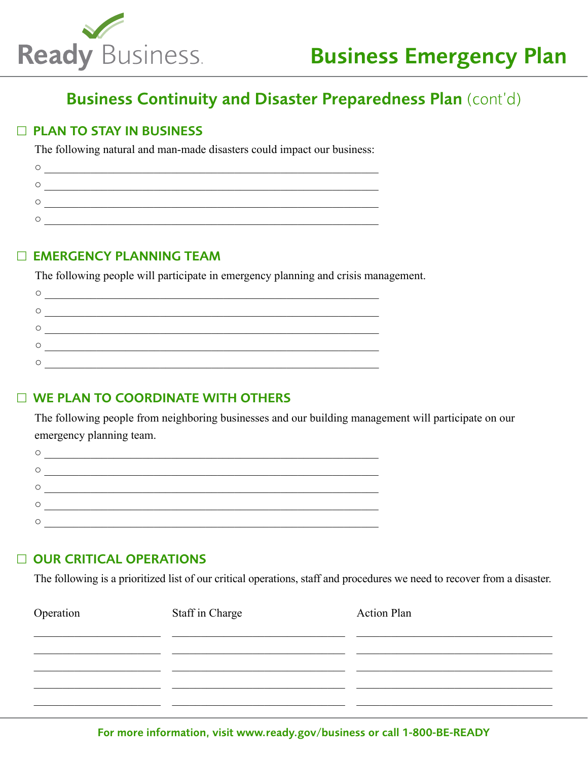

### □ PLAN TO STAY IN BUSINESS

The following natural and man-made disasters could impact our business:

#### □ EMERGENCY PLANNING TEAM

The following people will participate in emergency planning and crisis management.

| C |  |
|---|--|
| C |  |
| С |  |
|   |  |

### □ WE PLAN TO COORDINATE WITH OTHERS

The following people from neighboring businesses and our building management will participate on our emergency planning team.

| ∩                  |  |
|--------------------|--|
| O                  |  |
| Ο                  |  |
| $\curvearrowright$ |  |
|                    |  |

### □ OUR CRITICAL OPERATIONS

The following is a prioritized list of our critical operations, staff and procedures we need to recover from a disaster.

| Operation | Staff in Charge | <b>Action Plan</b> |
|-----------|-----------------|--------------------|
|           |                 |                    |
|           |                 |                    |
|           |                 |                    |
|           |                 |                    |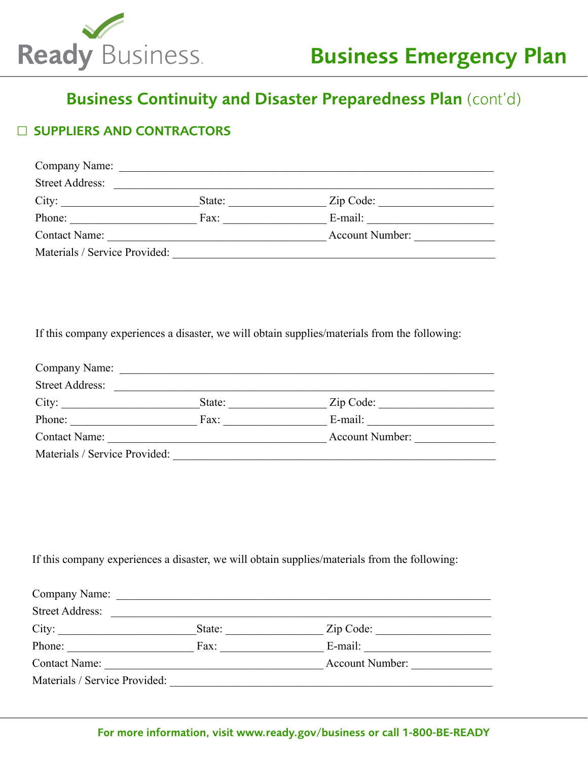

## □ SUPPLIERS AND CONTRACTORS

| Company Name:                 |        |                        |  |
|-------------------------------|--------|------------------------|--|
| <b>Street Address:</b>        |        |                        |  |
| City:                         | State: | Zip Code:              |  |
| Phone:                        | Fax:   | E-mail:                |  |
| Contact Name:                 |        | <b>Account Number:</b> |  |
| Materials / Service Provided: |        |                        |  |

If this company experiences a disaster, we will obtain supplies/materials from the following:

| Company Name:                 |        |                        |  |
|-------------------------------|--------|------------------------|--|
| <b>Street Address:</b>        |        |                        |  |
| City:                         | State: | Zip Code:              |  |
| Phone:                        | Fax:   | E-mail:                |  |
| <b>Contact Name:</b>          |        | <b>Account Number:</b> |  |
| Materials / Service Provided: |        |                        |  |

If this company experiences a disaster, we will obtain supplies/materials from the following:

| Company Name:<br><b>Street Address:</b> |        |                 |
|-----------------------------------------|--------|-----------------|
| City:                                   | State: | Zip Code:       |
| Phone:                                  | Fax:   | E-mail:         |
| Contact Name:                           |        | Account Number: |
| Materials / Service Provided:           |        |                 |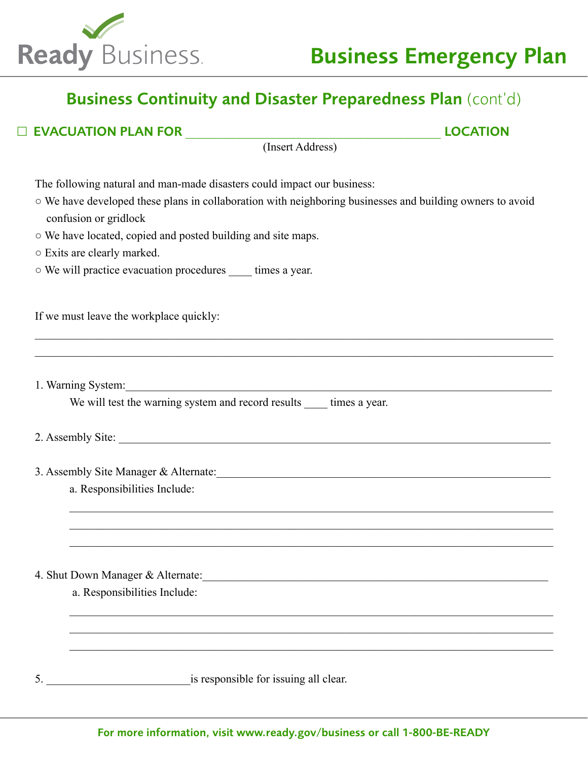

□ EVACUATION PLAN FOR \_\_\_\_\_\_\_\_\_\_\_\_\_\_\_\_\_\_\_\_\_\_\_\_\_\_\_\_\_\_\_\_\_\_\_\_\_\_ LOCATION

| (Insert Address)                                                                                                                                                                                                               |
|--------------------------------------------------------------------------------------------------------------------------------------------------------------------------------------------------------------------------------|
| The following natural and man-made disasters could impact our business:                                                                                                                                                        |
| ○ We have developed these plans in collaboration with neighboring businesses and building owners to avoid                                                                                                                      |
| confusion or gridlock                                                                                                                                                                                                          |
| o We have located, copied and posted building and site maps.                                                                                                                                                                   |
| ○ Exits are clearly marked.                                                                                                                                                                                                    |
| o We will practice evacuation procedures ______ times a year.                                                                                                                                                                  |
| If we must leave the workplace quickly:                                                                                                                                                                                        |
|                                                                                                                                                                                                                                |
| 1. Warning System:                                                                                                                                                                                                             |
| We will test the warning system and record results ______ times a year.                                                                                                                                                        |
|                                                                                                                                                                                                                                |
| 3. Assembly Site Manager & Alternate: 1986. Manager & Alternate: 1986. Manager & Alternate: 1986. Manager & Alternate: 1986. Manager & Alternate: 1986. Manager & Alternate: 1986. Manager & Alternate: 1986. Manager & Altern |
| a. Responsibilities Include:                                                                                                                                                                                                   |
|                                                                                                                                                                                                                                |
|                                                                                                                                                                                                                                |
| 4. Shut Down Manager & Alternate:                                                                                                                                                                                              |
| a. Responsibilities Include:                                                                                                                                                                                                   |
|                                                                                                                                                                                                                                |
|                                                                                                                                                                                                                                |
| is responsible for issuing all clear.<br>5.                                                                                                                                                                                    |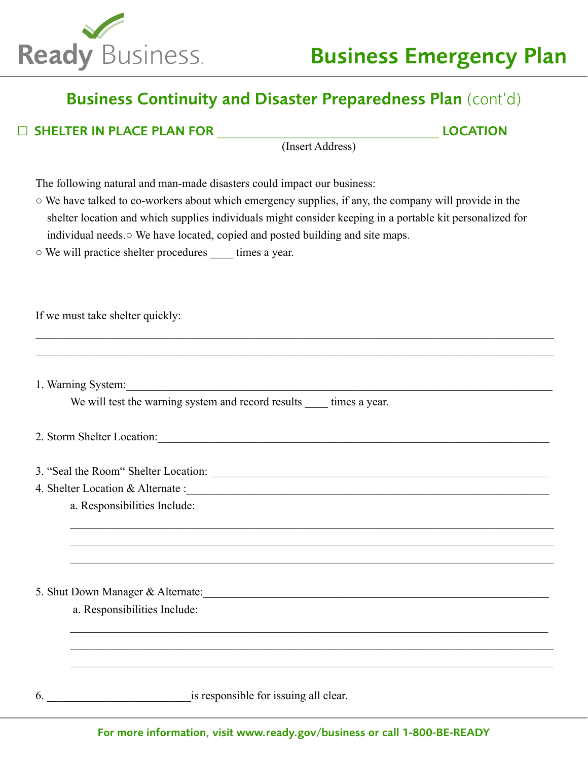

□ SHELTER IN PLACE PLAN FOR \_\_\_\_\_\_\_\_\_\_\_\_\_\_\_\_\_\_\_\_\_\_\_\_\_\_\_\_\_\_\_\_\_ LOCATION

(Insert Address)

The following natural and man-made disasters could impact our business:

○ We have talked to co-workers about which emergency supplies, if any, the company will provide in the shelter location and which supplies individuals might consider keeping in a portable kit personalized for individual needs.○ We have located, copied and posted building and site maps.

 $\_$  $\_$ 

\_\_\_\_\_\_\_\_\_\_\_\_\_\_\_\_\_\_\_\_\_\_\_\_\_\_\_\_\_\_\_\_\_\_\_\_\_\_\_\_\_\_\_\_\_\_\_\_\_\_\_\_\_\_\_\_\_\_\_\_\_\_\_\_\_\_\_\_\_\_\_\_\_\_\_\_\_\_\_\_\_\_\_\_ \_\_\_\_\_\_\_\_\_\_\_\_\_\_\_\_\_\_\_\_\_\_\_\_\_\_\_\_\_\_\_\_\_\_\_\_\_\_\_\_\_\_\_\_\_\_\_\_\_\_\_\_\_\_\_\_\_\_\_\_\_\_\_\_\_\_\_\_\_\_\_\_\_\_\_\_\_\_\_\_\_\_\_\_ \_\_\_\_\_\_\_\_\_\_\_\_\_\_\_\_\_\_\_\_\_\_\_\_\_\_\_\_\_\_\_\_\_\_\_\_\_\_\_\_\_\_\_\_\_\_\_\_\_\_\_\_\_\_\_\_\_\_\_\_\_\_\_\_\_\_\_\_\_\_\_\_\_\_\_\_\_\_\_\_\_\_\_\_

○ We will practice shelter procedures \_\_\_\_ times a year.

If we must take shelter quickly:

1. Warning System:

We will test the warning system and record results times a year.

- 2. Storm Shelter Location:
- 3. "Seal the Room" Shelter Location:
- 4. Shelter Location & Alternate :\_\_\_\_\_\_\_\_\_\_\_\_\_\_\_\_\_\_\_\_\_\_\_\_\_\_\_\_\_\_\_\_\_\_\_\_\_\_\_\_\_\_\_\_\_\_\_\_\_\_\_\_\_\_\_\_\_\_\_\_\_\_\_
	- a. Responsibilities Include:

5. Shut Down Manager & Alternate:\_\_\_\_\_\_\_\_\_\_\_\_\_\_\_\_\_\_\_\_\_\_\_\_\_\_\_\_\_\_\_\_\_\_\_\_\_\_\_\_\_\_\_\_\_\_\_\_\_\_\_\_\_\_\_\_\_\_\_\_

a. Responsibilities Include:

6.  $\blacksquare$  is responsible for issuing all clear.

 $\mathcal{L}_\text{max} = \frac{1}{2} \sum_{i=1}^{n} \frac{1}{2} \sum_{i=1}^{n} \frac{1}{2} \sum_{i=1}^{n} \frac{1}{2} \sum_{i=1}^{n} \frac{1}{2} \sum_{i=1}^{n} \frac{1}{2} \sum_{i=1}^{n} \frac{1}{2} \sum_{i=1}^{n} \frac{1}{2} \sum_{i=1}^{n} \frac{1}{2} \sum_{i=1}^{n} \frac{1}{2} \sum_{i=1}^{n} \frac{1}{2} \sum_{i=1}^{n} \frac{1}{2} \sum_{i=1}^{n} \frac{1$ 

\_\_\_\_\_\_\_\_\_\_\_\_\_\_\_\_\_\_\_\_\_\_\_\_\_\_\_\_\_\_\_\_\_\_\_\_\_\_\_\_\_\_\_\_\_\_\_\_\_\_\_\_\_\_\_\_\_\_\_\_\_\_\_\_\_\_\_\_\_\_\_\_\_\_\_\_\_\_\_\_\_\_\_\_ \_\_\_\_\_\_\_\_\_\_\_\_\_\_\_\_\_\_\_\_\_\_\_\_\_\_\_\_\_\_\_\_\_\_\_\_\_\_\_\_\_\_\_\_\_\_\_\_\_\_\_\_\_\_\_\_\_\_\_\_\_\_\_\_\_\_\_\_\_\_\_\_\_\_\_\_\_\_\_\_\_\_\_\_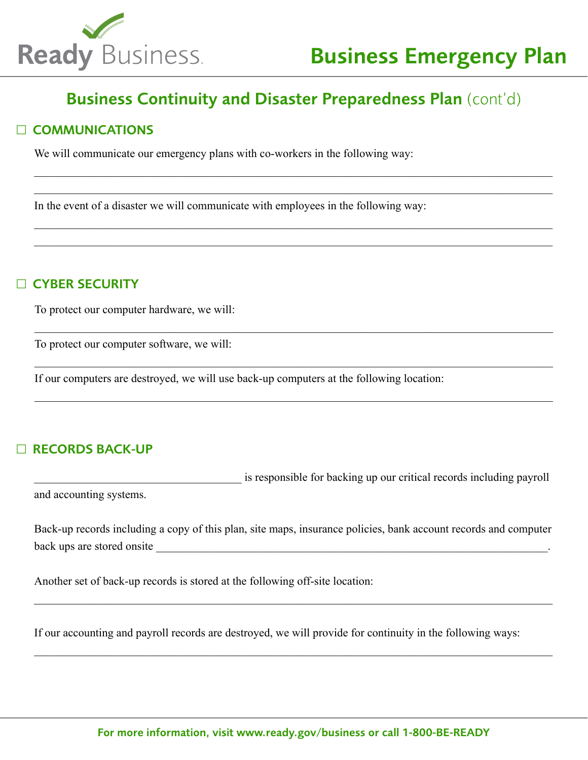

\_\_\_\_\_\_\_\_\_\_\_\_\_\_\_\_\_\_\_\_\_\_\_\_\_\_\_\_\_\_\_\_\_\_\_\_\_\_\_\_\_\_\_\_\_\_\_\_\_\_\_\_\_\_\_\_\_\_\_\_\_\_\_\_\_\_\_\_\_\_\_\_\_\_\_\_\_\_\_\_\_\_\_\_\_\_\_\_\_\_ \_\_\_\_\_\_\_\_\_\_\_\_\_\_\_\_\_\_\_\_\_\_\_\_\_\_\_\_\_\_\_\_\_\_\_\_\_\_\_\_\_\_\_\_\_\_\_\_\_\_\_\_\_\_\_\_\_\_\_\_\_\_\_\_\_\_\_\_\_\_\_\_\_\_\_\_\_\_\_\_\_\_\_\_\_\_\_\_\_\_

\_\_\_\_\_\_\_\_\_\_\_\_\_\_\_\_\_\_\_\_\_\_\_\_\_\_\_\_\_\_\_\_\_\_\_\_\_\_\_\_\_\_\_\_\_\_\_\_\_\_\_\_\_\_\_\_\_\_\_\_\_\_\_\_\_\_\_\_\_\_\_\_\_\_\_\_\_\_\_\_\_\_\_\_\_\_\_\_\_\_ \_\_\_\_\_\_\_\_\_\_\_\_\_\_\_\_\_\_\_\_\_\_\_\_\_\_\_\_\_\_\_\_\_\_\_\_\_\_\_\_\_\_\_\_\_\_\_\_\_\_\_\_\_\_\_\_\_\_\_\_\_\_\_\_\_\_\_\_\_\_\_\_\_\_\_\_\_\_\_\_\_\_\_\_\_\_\_\_\_\_

\_\_\_\_\_\_\_\_\_\_\_\_\_\_\_\_\_\_\_\_\_\_\_\_\_\_\_\_\_\_\_\_\_\_\_\_\_\_\_\_\_\_\_\_\_\_\_\_\_\_\_\_\_\_\_\_\_\_\_\_\_\_\_\_\_\_\_\_\_\_\_\_\_\_\_\_\_\_\_\_\_\_\_\_\_\_\_\_\_\_

\_\_\_\_\_\_\_\_\_\_\_\_\_\_\_\_\_\_\_\_\_\_\_\_\_\_\_\_\_\_\_\_\_\_\_\_\_\_\_\_\_\_\_\_\_\_\_\_\_\_\_\_\_\_\_\_\_\_\_\_\_\_\_\_\_\_\_\_\_\_\_\_\_\_\_\_\_\_\_\_\_\_\_\_\_\_\_\_\_\_

\_\_\_\_\_\_\_\_\_\_\_\_\_\_\_\_\_\_\_\_\_\_\_\_\_\_\_\_\_\_\_\_\_\_\_\_\_\_\_\_\_\_\_\_\_\_\_\_\_\_\_\_\_\_\_\_\_\_\_\_\_\_\_\_\_\_\_\_\_\_\_\_\_\_\_\_\_\_\_\_\_\_\_\_\_\_\_\_\_\_

### □ COMMUNICATIONS

We will communicate our emergency plans with co-workers in the following way:

In the event of a disaster we will communicate with employees in the following way:

### □ CYBER SECURITY

To protect our computer hardware, we will:

To protect our computer software, we will:

If our computers are destroyed, we will use back-up computers at the following location:

## □ RECORDS BACK-UP

is responsible for backing up our critical records including payroll and accounting systems.

Back-up records including a copy of this plan, site maps, insurance policies, bank account records and computer back ups are stored onsite

\_\_\_\_\_\_\_\_\_\_\_\_\_\_\_\_\_\_\_\_\_\_\_\_\_\_\_\_\_\_\_\_\_\_\_\_\_\_\_\_\_\_\_\_\_\_\_\_\_\_\_\_\_\_\_\_\_\_\_\_\_\_\_\_\_\_\_\_\_\_\_\_\_\_\_\_\_\_\_\_\_\_\_\_\_\_\_\_\_\_

\_\_\_\_\_\_\_\_\_\_\_\_\_\_\_\_\_\_\_\_\_\_\_\_\_\_\_\_\_\_\_\_\_\_\_\_\_\_\_\_\_\_\_\_\_\_\_\_\_\_\_\_\_\_\_\_\_\_\_\_\_\_\_\_\_\_\_\_\_\_\_\_\_\_\_\_\_\_\_\_\_\_\_\_\_\_\_\_\_\_

Another set of back-up records is stored at the following off-site location:

If our accounting and payroll records are destroyed, we will provide for continuity in the following ways: